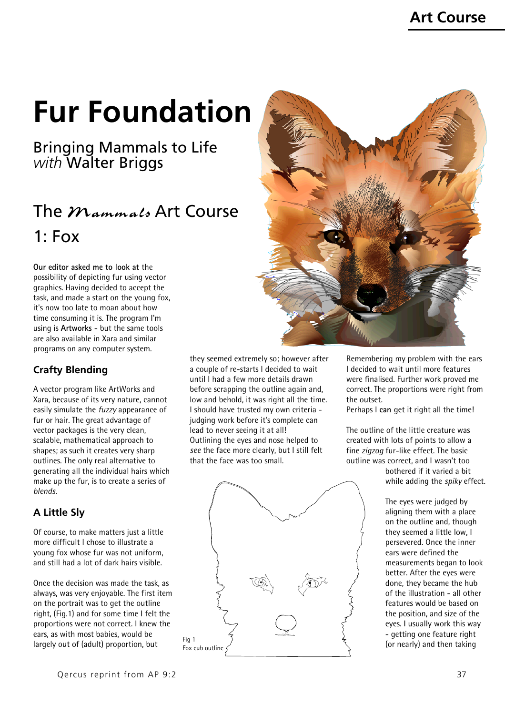# **Fur Foundation**

Bringing Mammals to Life *with* Walter Briggs

## The  $$ 1: Fox

**Our editor asked me to look at** the possibility of depicting fur using vector graphics. Having decided to accept the task, and made a start on the young fox, it's now too late to moan about how time consuming it is. The program I'm using is **Artworks** - but the same tools are also available in Xara and similar programs on any computer system.

#### **Crafty Blending**

A vector program like ArtWorks and Xara, because of its very nature, cannot easily simulate the *fuzzy* appearance of fur or hair. The great advantage of vector packages is the very clean, scalable, mathematical approach to shapes; as such it creates very sharp outlines. The only real alternative to generating all the individual hairs which make up the fur, is to create a series of *blends*.

#### **A Little Sly**

Of course, to make matters just a little more difficult I chose to illustrate a young fox whose fur was not uniform, and still had a lot of dark hairs visible.

Once the decision was made the task, as always, was very enjoyable. The first item on the portrait was to get the outline right, (Fig.1) and for some time I felt the proportions were not correct. I knew the ears, as with most babies, would be largely out of (adult) proportion, but





they seemed extremely so; however after a couple of re-starts I decided to wait until I had a few more details drawn before scrapping the outline again and, low and behold, it was right all the time. I should have trusted my own criteria judging work before it's complete can lead to never seeing it at all! Outlining the eyes and nose helped to *see* the face more clearly, but I still felt that the face was too small.



Remembering my problem with the ears I decided to wait until more features were finalised. Further work proved me correct. The proportions were right from the outset.

Perhaps I **can** get it right all the time!

The outline of the little creature was created with lots of points to allow a fine *zigzag* fur-like effect. The basic outline was correct, and I wasn't too

bothered if it varied a bit while adding the *spiky* effect.

The eyes were judged by aligning them with a place on the outline and, though they seemed a little low, I persevered. Once the inner ears were defined the measurements began to look better. After the eyes were done, they became the hub of the illustration - all other features would be based on the position, and size of the eyes. I usually work this way - getting one feature right (or nearly) and then taking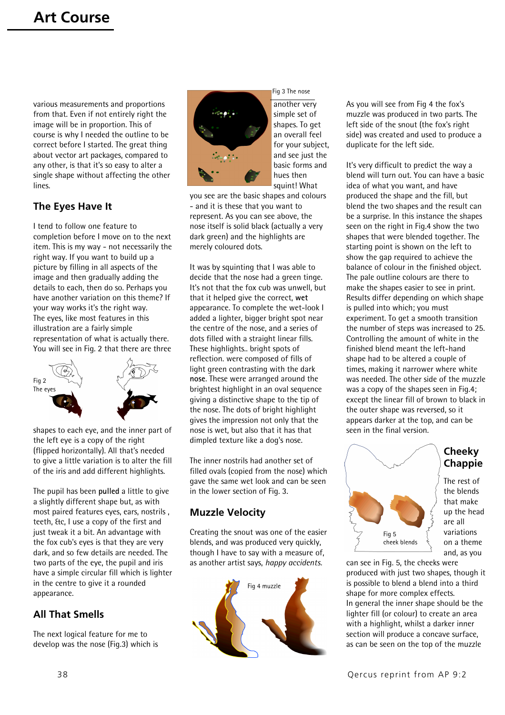various measurements and proportions from that. Even if not entirely right the image will be in proportion. This of course is why I needed the outline to be correct before I started. The great thing about vector art packages, compared to any other, is that it's so easy to alter a single shape without affecting the other lines.

#### **The Eyes Have It**

I tend to follow one feature to completion before I move on to the next item. This is my way - not necessarily the right way. If you want to build up a picture by filling in all aspects of the image and then gradually adding the details to each, then do so. Perhaps you have another variation on this theme? If your way works it's the right way. The eyes, like most features in this illustration are a fairly simple representation of what is actually there. You will see in Fig. 2 that there are three



shapes to each eye, and the inner part of the left eye is a copy of the right (flipped horizontally). All that's needed to give a little variation is to alter the fill of the iris and add different highlights.

The pupil has been **pulled** a little to give a slightly different shape but, as with most paired features eyes, ears, nostrils , teeth, &c, I use a copy of the first and just tweak it a bit. An advantage with the fox cub's eyes is that they are very dark, and so few details are needed. The two parts of the eye, the pupil and iris have a simple circular fill which is lighter in the centre to give it a rounded appearance.

#### **All That Smells**

The next logical feature for me to develop was the nose (Fig.3) which is



another very simple set of shapes. To get an overall feel for your subject, and see just the basic forms and hues then squint! What

Fig 3 The nose

you see are the basic shapes and colours - and it is these that you want to represent. As you can see above, the nose itself is solid black (actually a very dark green) and the highlights are merely coloured dots.

It was by squinting that I was able to decide that the nose had a green tinge. It's not that the fox cub was unwell, but that it helped give the correct, **wet** appearance. To complete the wet-look I added a lighter, bigger bright spot near the centre of the nose, and a series of dots filled with a straight linear fills. These highlights.. bright spots of reflection. were composed of fills of light green contrasting with the dark **nose**. These were arranged around the brightest highlight in an oval sequence giving a distinctive shape to the tip of the nose. The dots of bright highlight gives the impression not only that the nose is wet, but also that it has that dimpled texture like a dog's nose.

The inner nostrils had another set of filled ovals (copied from the nose) which gave the same wet look and can be seen in the lower section of Fig. 3.

#### **Muzzle Velocity**

Creating the snout was one of the easier blends, and was produced very quickly, though I have to say with a measure of, as another artist says, *happy accidents*.



As you will see from Fig 4 the fox's muzzle was produced in two parts. The left side of the snout (the fox's right side) was created and used to produce a duplicate for the left side.

It's very difficult to predict the way a blend will turn out. You can have a basic idea of what you want, and have produced the shape and the fill, but blend the two shapes and the result can be a surprise. In this instance the shapes seen on the right in Fig.4 show the two shapes that were blended together. The starting point is shown on the left to show the gap required to achieve the balance of colour in the finished object. The pale outline colours are there to make the shapes easier to see in print. Results differ depending on which shape is pulled into which; you must experiment. To get a smooth transition the number of steps was increased to 25. Controlling the amount of white in the finished blend meant the left-hand shape had to be altered a couple of times, making it narrower where white was needed. The other side of the muzzle was a copy of the shapes seen in Fig.4; except the linear fill of brown to black in the outer shape was reversed, so it appears darker at the top, and can be seen in the final version.



**Cheeky Chappie**

The rest of the blends that make up the head are all variations on a theme and, as you

can see in Fig. 5, the cheeks were produced with just two shapes, though it is possible to blend a blend into a third shape for more complex effects. In general the inner shape should be the lighter fill (or colour) to create an area with a highlight, whilst a darker inner section will produce a concave surface, as can be seen on the top of the muzzle